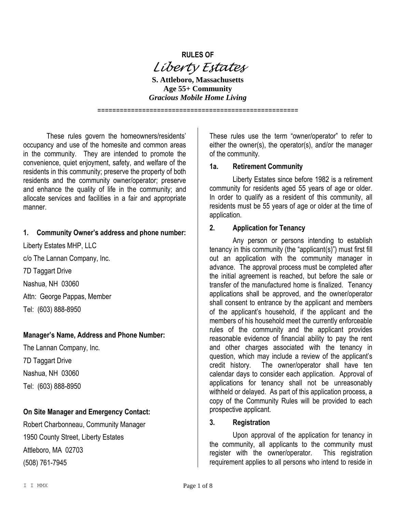# **RULES OF** *Liberty Estates*

**S. Attleboro, Massachusetts Age 55+ Community** *Gracious Mobile Home Living*

======================================================

These rules govern the homeowners/residents' occupancy and use of the homesite and common areas in the community. They are intended to promote the convenience, quiet enjoyment, safety, and welfare of the residents in this community; preserve the property of both residents and the community owner/operator; preserve and enhance the quality of life in the community; and allocate services and facilities in a fair and appropriate manner.

#### **1. Community Owner's address and phone number:**

Liberty Estates MHP, LLC c/o The Lannan Company, Inc. 7D Taggart Drive Nashua, NH 03060 Attn: George Pappas, Member Tel: (603) 888-8950

## **Manager's Name, Address and Phone Number:**

The Lannan Company, Inc. 7D Taggart Drive Nashua, NH 03060 Tel: (603) 888-8950

## **On Site Manager and Emergency Contact:**

Robert Charbonneau, Community Manager 1950 County Street, Liberty Estates Attleboro, MA 02703 (508) 761-7945

These rules use the term "owner/operator" to refer to either the owner(s), the operator(s), and/or the manager of the community.

#### **1a. Retirement Community**

Liberty Estates since before 1982 is a retirement community for residents aged 55 years of age or older. In order to qualify as a resident of this community, all residents must be 55 years of age or older at the time of application.

#### **2. Application for Tenancy**

Any person or persons intending to establish tenancy in this community (the "applicant(s)") must first fill out an application with the community manager in advance. The approval process must be completed after the initial agreement is reached, but before the sale or transfer of the manufactured home is finalized. Tenancy applications shall be approved, and the owner/operator shall consent to entrance by the applicant and members of the applicant's household, if the applicant and the members of his household meet the currently enforceable rules of the community and the applicant provides reasonable evidence of financial ability to pay the rent and other charges associated with the tenancy in question, which may include a review of the applicant's credit history. The owner/operator shall have ten calendar days to consider each application. Approval of applications for tenancy shall not be unreasonably withheld or delayed. As part of this application process, a copy of the Community Rules will be provided to each prospective applicant.

#### **3. Registration**

Upon approval of the application for tenancy in the community, all applicants to the community must register with the owner/operator. This registration requirement applies to all persons who intend to reside in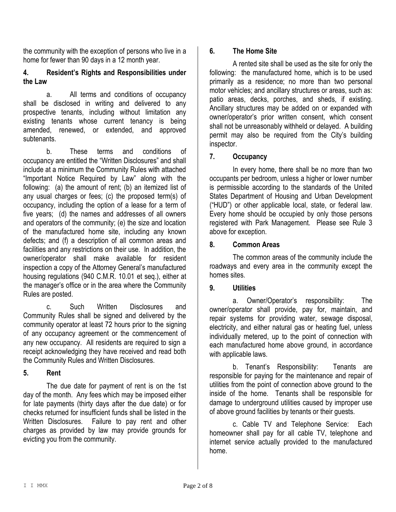the community with the exception of persons who live in a home for fewer than 90 days in a 12 month year.

## **4. Resident's Rights and Responsibilities under the Law**

a. All terms and conditions of occupancy shall be disclosed in writing and delivered to any prospective tenants, including without limitation any existing tenants whose current tenancy is being amended, renewed, or extended, and approved subtenants.

b. These terms and conditions of occupancy are entitled the "Written Disclosures" and shall include at a minimum the Community Rules with attached "Important Notice Required by Law" along with the following: (a) the amount of rent; (b) an itemized list of any usual charges or fees; (c) the proposed term(s) of occupancy, including the option of a lease for a term of five years; (d) the names and addresses of all owners and operators of the community; (e) the size and location of the manufactured home site, including any known defects; and (f) a description of all common areas and facilities and any restrictions on their use. In addition, the owner/operator shall make available for resident inspection a copy of the Attorney General's manufactured housing regulations (940 C.M.R. 10.01 et seq.), either at the manager's office or in the area where the Community Rules are posted.

c. Such Written Disclosures and Community Rules shall be signed and delivered by the community operator at least 72 hours prior to the signing of any occupancy agreement or the commencement of any new occupancy. All residents are required to sign a receipt acknowledging they have received and read both the Community Rules and Written Disclosures.

## **5. Rent**

The due date for payment of rent is on the 1st day of the month. Any fees which may be imposed either for late payments (thirty days after the due date) or for checks returned for insufficient funds shall be listed in the Written Disclosures. Failure to pay rent and other charges as provided by law may provide grounds for evicting you from the community.

## **6. The Home Site**

A rented site shall be used as the site for only the following: the manufactured home, which is to be used primarily as a residence; no more than two personal motor vehicles; and ancillary structures or areas, such as: patio areas, decks, porches, and sheds, if existing. Ancillary structures may be added on or expanded with owner/operator's prior written consent, which consent shall not be unreasonably withheld or delayed. A building permit may also be required from the City's building inspector.

## **7. Occupancy**

In every home, there shall be no more than two occupants per bedroom, unless a higher or lower number is permissible according to the standards of the United States Department of Housing and Urban Development ("HUD") or other applicable local, state, or federal law. Every home should be occupied by only those persons registered with Park Management. Please see Rule 3 above for exception.

## **8. Common Areas**

The common areas of the community include the roadways and every area in the community except the homes sites.

## **9. Utilities**

a. Owner/Operator's responsibility: The owner/operator shall provide, pay for, maintain, and repair systems for providing water, sewage disposal, electricity, and either natural gas or heating fuel, unless individually metered, up to the point of connection with each manufactured home above ground, in accordance with applicable laws.

b. Tenant's Responsibility: Tenants are responsible for paying for the maintenance and repair of utilities from the point of connection above ground to the inside of the home. Tenants shall be responsible for damage to underground utilities caused by improper use of above ground facilities by tenants or their guests.

c. Cable TV and Telephone Service: Each homeowner shall pay for all cable TV, telephone and internet service actually provided to the manufactured home.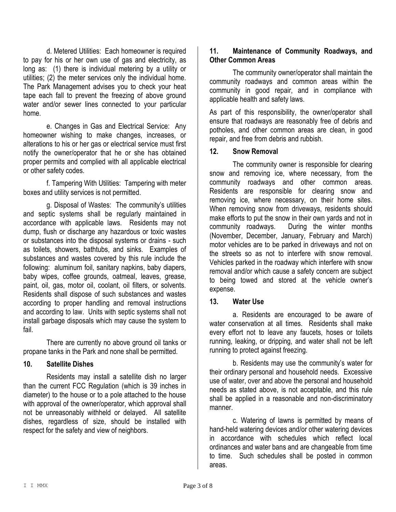d. Metered Utilities: Each homeowner is required to pay for his or her own use of gas and electricity, as long as: (1) there is individual metering by a utility or utilities; (2) the meter services only the individual home. The Park Management advises you to check your heat tape each fall to prevent the freezing of above ground water and/or sewer lines connected to your particular home.

e. Changes in Gas and Electrical Service: Any homeowner wishing to make changes, increases, or alterations to his or her gas or electrical service must first notify the owner/operator that he or she has obtained proper permits and complied with all applicable electrical or other safety codes.

f. Tampering With Utilities: Tampering with meter boxes and utility services is not permitted.

g. Disposal of Wastes: The community's utilities and septic systems shall be regularly maintained in accordance with applicable laws. Residents may not dump, flush or discharge any hazardous or toxic wastes or substances into the disposal systems or drains - such as toilets, showers, bathtubs, and sinks. Examples of substances and wastes covered by this rule include the following: aluminum foil, sanitary napkins, baby diapers, baby wipes, coffee grounds, oatmeal, leaves, grease, paint, oil, gas, motor oil, coolant, oil filters, or solvents. Residents shall dispose of such substances and wastes according to proper handling and removal instructions and according to law. Units with septic systems shall not install garbage disposals which may cause the system to fail.

There are currently no above ground oil tanks or propane tanks in the Park and none shall be permitted.

## **10. Satellite Dishes**

Residents may install a satellite dish no larger than the current FCC Regulation (which is 39 inches in diameter) to the house or to a pole attached to the house with approval of the owner/operator, which approval shall not be unreasonably withheld or delayed. All satellite dishes, regardless of size, should be installed with respect for the safety and view of neighbors.

## **11. Maintenance of Community Roadways, and Other Common Areas**

The community owner/operator shall maintain the community roadways and common areas within the community in good repair, and in compliance with applicable health and safety laws.

As part of this responsibility, the owner/operator shall ensure that roadways are reasonably free of debris and potholes, and other common areas are clean, in good repair, and free from debris and rubbish.

## **12. Snow Removal**

The community owner is responsible for clearing snow and removing ice, where necessary, from the community roadways and other common areas. Residents are responsible for clearing snow and removing ice, where necessary, on their home sites. When removing snow from driveways, residents should make efforts to put the snow in their own yards and not in community roadways. During the winter months (November, December, January, February and March) motor vehicles are to be parked in driveways and not on the streets so as not to interfere with snow removal. Vehicles parked in the roadway which interfere with snow removal and/or which cause a safety concern are subject to being towed and stored at the vehicle owner's expense.

## **13. Water Use**

a. Residents are encouraged to be aware of water conservation at all times. Residents shall make every effort not to leave any faucets, hoses or toilets running, leaking, or dripping, and water shall not be left running to protect against freezing.

b. Residents may use the community's water for their ordinary personal and household needs. Excessive use of water, over and above the personal and household needs as stated above, is not acceptable, and this rule shall be applied in a reasonable and non-discriminatory manner.

c. Watering of lawns is permitted by means of hand-held watering devices and/or other watering devices in accordance with schedules which reflect local ordinances and water bans and are changeable from time to time. Such schedules shall be posted in common areas.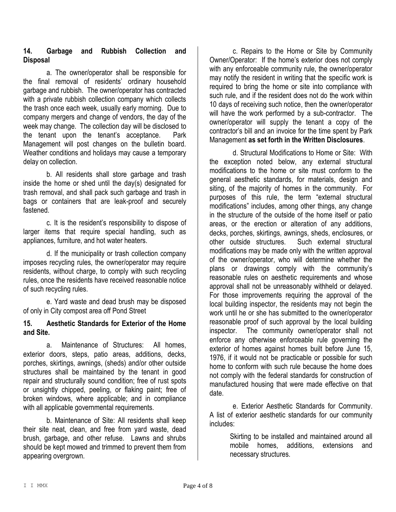## **14. Garbage and Rubbish Collection and Disposal**

a. The owner/operator shall be responsible for the final removal of residents' ordinary household garbage and rubbish. The owner/operator has contracted with a private rubbish collection company which collects the trash once each week, usually early morning. Due to company mergers and change of vendors, the day of the week may change. The collection day will be disclosed to the tenant upon the tenant's acceptance. Park Management will post changes on the bulletin board. Weather conditions and holidays may cause a temporary delay on collection.

b. All residents shall store garbage and trash inside the home or shed until the day(s) designated for trash removal, and shall pack such garbage and trash in bags or containers that are leak-proof and securely fastened.

c. It is the resident's responsibility to dispose of larger items that require special handling, such as appliances, furniture, and hot water heaters.

d. If the municipality or trash collection company imposes recycling rules, the owner/operator may require residents, without charge, to comply with such recycling rules, once the residents have received reasonable notice of such recycling rules.

e. Yard waste and dead brush may be disposed of only in City compost area off Pond Street

## **15. Aesthetic Standards for Exterior of the Home and Site.**

a. Maintenance of Structures: All homes, exterior doors, steps, patio areas, additions, decks, porches, skirtings, awnings, (sheds) and/or other outside structures shall be maintained by the tenant in good repair and structurally sound condition; free of rust spots or unsightly chipped, peeling, or flaking paint; free of broken windows, where applicable; and in compliance with all applicable governmental requirements.

b. Maintenance of Site: All residents shall keep their site neat, clean, and free from yard waste, dead brush, garbage, and other refuse. Lawns and shrubs should be kept mowed and trimmed to prevent them from appearing overgrown.

c. Repairs to the Home or Site by Community Owner/Operator: If the home's exterior does not comply with any enforceable community rule, the owner/operator may notify the resident in writing that the specific work is required to bring the home or site into compliance with such rule, and if the resident does not do the work within 10 days of receiving such notice, then the owner/operator will have the work performed by a sub-contractor. The owner/operator will supply the tenant a copy of the contractor's bill and an invoice for the time spent by Park Management **as set forth in the Written Disclosures**.

d. Structural Modifications to Home or Site: With the exception noted below, any external structural modifications to the home or site must conform to the general aesthetic standards, for materials, design and siting, of the majority of homes in the community. For purposes of this rule, the term "external structural modifications" includes, among other things, any change in the structure of the outside of the home itself or patio areas, or the erection or alteration of any additions, decks, porches, skirtings, awnings, sheds, enclosures, or other outside structures. Such external structural modifications may be made only with the written approval of the owner/operator, who will determine whether the plans or drawings comply with the community's reasonable rules on aesthetic requirements and whose approval shall not be unreasonably withheld or delayed. For those improvements requiring the approval of the local building inspector, the residents may not begin the work until he or she has submitted to the owner/operator reasonable proof of such approval by the local building inspector. The community owner/operator shall not enforce any otherwise enforceable rule governing the exterior of homes against homes built before June 15, 1976, if it would not be practicable or possible for such home to conform with such rule because the home does not comply with the federal standards for construction of manufactured housing that were made effective on that date.

e. Exterior Aesthetic Standards for Community. A list of exterior aesthetic standards for our community includes:

> Skirting to be installed and maintained around all mobile homes, additions, extensions and necessary structures.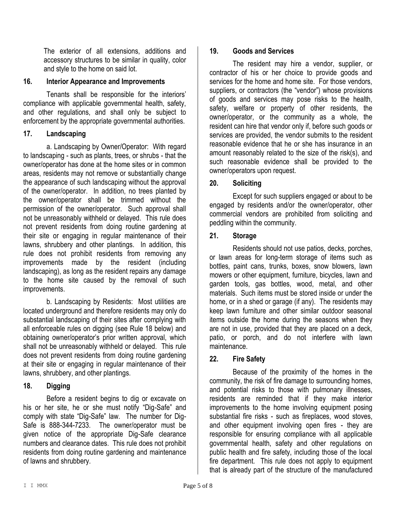The exterior of all extensions, additions and accessory structures to be similar in quality, color and style to the home on said lot.

## **16. Interior Appearance and Improvements**

Tenants shall be responsible for the interiors' compliance with applicable governmental health, safety, and other regulations, and shall only be subject to enforcement by the appropriate governmental authorities.

## **17. Landscaping**

a. Landscaping by Owner/Operator: With regard to landscaping - such as plants, trees, or shrubs - that the owner/operator has done at the home sites or in common areas, residents may not remove or substantially change the appearance of such landscaping without the approval of the owner/operator. In addition, no trees planted by the owner/operator shall be trimmed without the permission of the owner/operator. Such approval shall not be unreasonably withheld or delayed. This rule does not prevent residents from doing routine gardening at their site or engaging in regular maintenance of their lawns, shrubbery and other plantings. In addition, this rule does not prohibit residents from removing any improvements made by the resident (including landscaping), as long as the resident repairs any damage to the home site caused by the removal of such improvements.

b. Landscaping by Residents: Most utilities are located underground and therefore residents may only do substantial landscaping of their sites after complying with all enforceable rules on digging (see Rule 18 below) and obtaining owner/operator's prior written approval, which shall not be unreasonably withheld or delayed. This rule does not prevent residents from doing routine gardening at their site or engaging in regular maintenance of their lawns, shrubbery, and other plantings.

## **18. Digging**

Before a resident begins to dig or excavate on his or her site, he or she must notify "Dig-Safe" and comply with state "Dig-Safe" law. The number for Dig-Safe is 888-344-7233. The owner/operator must be given notice of the appropriate Dig-Safe clearance numbers and clearance dates. This rule does not prohibit residents from doing routine gardening and maintenance of lawns and shrubbery.

## **19. Goods and Services**

The resident may hire a vendor, supplier, or contractor of his or her choice to provide goods and services for the home and home site. For those vendors, suppliers, or contractors (the "vendor") whose provisions of goods and services may pose risks to the health, safety, welfare or property of other residents, the owner/operator, or the community as a whole, the resident can hire that vendor only if, before such goods or services are provided, the vendor submits to the resident reasonable evidence that he or she has insurance in an amount reasonably related to the size of the risk(s), and such reasonable evidence shall be provided to the owner/operators upon request.

## **20. Soliciting**

Except for such suppliers engaged or about to be engaged by residents and/or the owner/operator, other commercial vendors are prohibited from soliciting and peddling within the community.

## **21. Storage**

Residents should not use patios, decks, porches, or lawn areas for long-term storage of items such as bottles, paint cans, trunks, boxes, snow blowers, lawn mowers or other equipment, furniture, bicycles, lawn and garden tools, gas bottles, wood, metal, and other materials. Such items must be stored inside or under the home, or in a shed or garage (if any). The residents may keep lawn furniture and other similar outdoor seasonal items outside the home during the seasons when they are not in use, provided that they are placed on a deck, patio, or porch, and do not interfere with lawn maintenance.

## **22. Fire Safety**

Because of the proximity of the homes in the community, the risk of fire damage to surrounding homes, and potential risks to those with pulmonary illnesses, residents are reminded that if they make interior improvements to the home involving equipment posing substantial fire risks - such as fireplaces, wood stoves, and other equipment involving open fires - they are responsible for ensuring compliance with all applicable governmental health, safety and other regulations on public health and fire safety, including those of the local fire department. This rule does not apply to equipment that is already part of the structure of the manufactured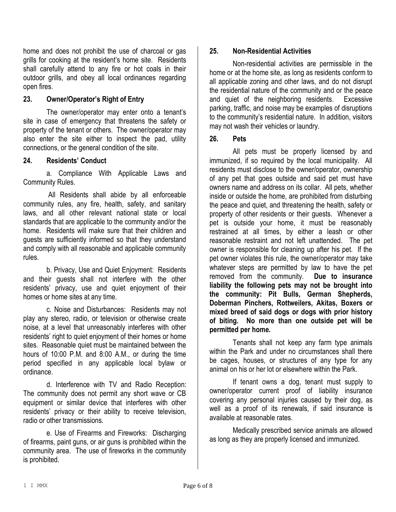home and does not prohibit the use of charcoal or gas grills for cooking at the resident's home site. Residents shall carefully attend to any fire or hot coals in their outdoor grills, and obey all local ordinances regarding open fires.

## **23. Owner/Operator's Right of Entry**

The owner/operator may enter onto a tenant's site in case of emergency that threatens the safety or property of the tenant or others. The owner/operator may also enter the site either to inspect the pad, utility connections, or the general condition of the site.

## **24. Residents' Conduct**

a. Compliance With Applicable Laws and Community Rules.

All Residents shall abide by all enforceable community rules, any fire, health, safety, and sanitary laws, and all other relevant national state or local standards that are applicable to the community and/or the home. Residents will make sure that their children and guests are sufficiently informed so that they understand and comply with all reasonable and applicable community rules.

b. Privacy, Use and Quiet Enjoyment: Residents and their guests shall not interfere with the other residents' privacy, use and quiet enjoyment of their homes or home sites at any time.

c. Noise and Disturbances: Residents may not play any stereo, radio, or television or otherwise create noise, at a level that unreasonably interferes with other residents' right to quiet enjoyment of their homes or home sites. Reasonable quiet must be maintained between the hours of 10:00 P.M. and 8:00 A.M., or during the time period specified in any applicable local bylaw or ordinance.

d. Interference with TV and Radio Reception: The community does not permit any short wave or CB equipment or similar device that interferes with other residents' privacy or their ability to receive television, radio or other transmissions.

e. Use of Firearms and Fireworks: Discharging of firearms, paint guns, or air guns is prohibited within the community area. The use of fireworks in the community is prohibited.

## **25. Non-Residential Activities**

Non-residential activities are permissible in the home or at the home site, as long as residents conform to all applicable zoning and other laws, and do not disrupt the residential nature of the community and or the peace and quiet of the neighboring residents. Excessive parking, traffic, and noise may be examples of disruptions to the community's residential nature. In addition, visitors may not wash their vehicles or laundry.

## **26. Pets**

All pets must be properly licensed by and immunized, if so required by the local municipality. All residents must disclose to the owner/operator, ownership of any pet that goes outside and said pet must have owners name and address on its collar. All pets, whether inside or outside the home, are prohibited from disturbing the peace and quiet, and threatening the health, safety or property of other residents or their guests. Whenever a pet is outside your home, it must be reasonably restrained at all times, by either a leash or other reasonable restraint and not left unattended. The pet owner is responsible for cleaning up after his pet. If the pet owner violates this rule, the owner/operator may take whatever steps are permitted by law to have the pet removed from the community. **Due to insurance liability the following pets may not be brought into the community: Pit Bulls, German Shepherds, Doberman Pinchers, Rottweilers, Akitas, Boxers or mixed breed of said dogs or dogs with prior history of biting. No more than one outside pet will be permitted per home.**

Tenants shall not keep any farm type animals within the Park and under no circumstances shall there be cages, houses, or structures of any type for any animal on his or her lot or elsewhere within the Park.

If tenant owns a dog, tenant must supply to owner/operator current proof of liability insurance covering any personal injuries caused by their dog, as well as a proof of its renewals, if said insurance is available at reasonable rates.

Medically prescribed service animals are allowed as long as they are properly licensed and immunized.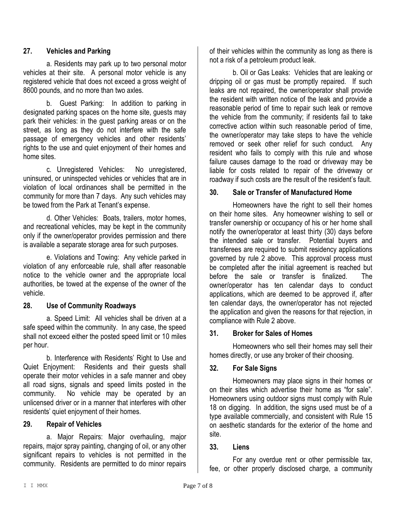## **27. Vehicles and Parking**

a. Residents may park up to two personal motor vehicles at their site. A personal motor vehicle is any registered vehicle that does not exceed a gross weight of 8600 pounds, and no more than two axles.

b. Guest Parking: In addition to parking in designated parking spaces on the home site, guests may park their vehicles: in the guest parking areas or on the street, as long as they do not interfere with the safe passage of emergency vehicles and other residents' rights to the use and quiet enjoyment of their homes and home sites.

c. Unregistered Vehicles: No unregistered, uninsured, or uninspected vehicles or vehicles that are in violation of local ordinances shall be permitted in the community for more than 7 days. Any such vehicles may be towed from the Park at Tenant's expense.

d. Other Vehicles: Boats, trailers, motor homes, and recreational vehicles, may be kept in the community only if the owner/operator provides permission and there is available a separate storage area for such purposes.

e. Violations and Towing: Any vehicle parked in violation of any enforceable rule, shall after reasonable notice to the vehicle owner and the appropriate local authorities, be towed at the expense of the owner of the vehicle.

## **28. Use of Community Roadways**

a. Speed Limit: All vehicles shall be driven at a safe speed within the community. In any case, the speed shall not exceed either the posted speed limit or 10 miles per hour.

b. Interference with Residents' Right to Use and Quiet Enjoyment: Residents and their guests shall operate their motor vehicles in a safe manner and obey all road signs, signals and speed limits posted in the community. No vehicle may be operated by an unlicensed driver or in a manner that interferes with other residents' quiet enjoyment of their homes.

## **29. Repair of Vehicles**

a. Major Repairs: Major overhauling, major repairs, major spray painting, changing of oil, or any other significant repairs to vehicles is not permitted in the community. Residents are permitted to do minor repairs

of their vehicles within the community as long as there is not a risk of a petroleum product leak.

b. Oil or Gas Leaks: Vehicles that are leaking or dripping oil or gas must be promptly repaired. If such leaks are not repaired, the owner/operator shall provide the resident with written notice of the leak and provide a reasonable period of time to repair such leak or remove the vehicle from the community; if residents fail to take corrective action within such reasonable period of time, the owner/operator may take steps to have the vehicle removed or seek other relief for such conduct. Any resident who fails to comply with this rule and whose failure causes damage to the road or driveway may be liable for costs related to repair of the driveway or roadway if such costs are the result of the resident's fault.

## **30. Sale or Transfer of Manufactured Home**

Homeowners have the right to sell their homes on their home sites. Any homeowner wishing to sell or transfer ownership or occupancy of his or her home shall notify the owner/operator at least thirty (30) days before the intended sale or transfer. Potential buyers and transferees are required to submit residency applications governed by rule 2 above. This approval process must be completed after the initial agreement is reached but before the sale or transfer is finalized. The owner/operator has ten calendar days to conduct applications, which are deemed to be approved if, after ten calendar days, the owner/operator has not rejected the application and given the reasons for that rejection, in compliance with Rule 2 above.

## **31. Broker for Sales of Homes**

Homeowners who sell their homes may sell their homes directly, or use any broker of their choosing.

## **32. For Sale Signs**

Homeowners may place signs in their homes or on their sites which advertise their home as "for sale". Homeowners using outdoor signs must comply with Rule 18 on digging. In addition, the signs used must be of a type available commercially, and consistent with Rule 15 on aesthetic standards for the exterior of the home and site.

## **33. Liens**

For any overdue rent or other permissible tax, fee, or other properly disclosed charge, a community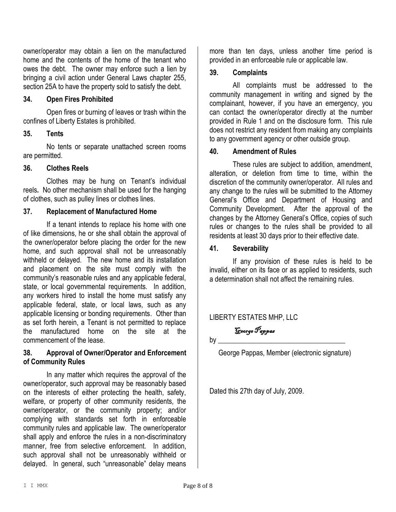owner/operator may obtain a lien on the manufactured home and the contents of the home of the tenant who owes the debt. The owner may enforce such a lien by bringing a civil action under General Laws chapter 255, section 25A to have the property sold to satisfy the debt.

#### **34. Open Fires Prohibited**

Open fires or burning of leaves or trash within the confines of Liberty Estates is prohibited.

#### **35. Tents**

No tents or separate unattached screen rooms are permitted.

#### **36. Clothes Reels**

Clothes may be hung on Tenant's individual reels**.** No other mechanism shall be used for the hanging of clothes, such as pulley lines or clothes lines.

## **37. Replacement of Manufactured Home**

If a tenant intends to replace his home with one of like dimensions, he or she shall obtain the approval of the owner/operator before placing the order for the new home, and such approval shall not be unreasonably withheld or delayed. The new home and its installation and placement on the site must comply with the community's reasonable rules and any applicable federal, state, or local governmental requirements. In addition, any workers hired to install the home must satisfy any applicable federal, state, or local laws, such as any applicable licensing or bonding requirements. Other than as set forth herein, a Tenant is not permitted to replace the manufactured home on the site at the commencement of the lease.

## **38. Approval of Owner/Operator and Enforcement of Community Rules**

In any matter which requires the approval of the owner/operator, such approval may be reasonably based on the interests of either protecting the health, safety, welfare, or property of other community residents, the owner/operator, or the community property; and/or complying with standards set forth in enforceable community rules and applicable law. The owner/operator shall apply and enforce the rules in a non-discriminatory manner, free from selective enforcement. In addition, such approval shall not be unreasonably withheld or delayed. In general, such "unreasonable" delay means

more than ten days, unless another time period is provided in an enforceable rule or applicable law.

#### **39. Complaints**

All complaints must be addressed to the community management in writing and signed by the complainant, however, if you have an emergency, you can contact the owner/operator directly at the number provided in Rule 1 and on the disclosure form. This rule does not restrict any resident from making any complaints to any government agency or other outside group.

#### **40. Amendment of Rules**

These rules are subject to addition, amendment, alteration, or deletion from time to time, within the discretion of the community owner/operator. All rules and any change to the rules will be submitted to the Attorney General's Office and Department of Housing and Community Development. After the approval of the changes by the Attorney General's Office, copies of such rules or changes to the rules shall be provided to all residents at least 30 days prior to their effective date.

#### **41. Severability**

If any provision of these rules is held to be invalid, either on its face or as applied to residents, such a determination shall not affect the remaining rules.

## LIBERTY ESTATES MHP, LLC

 George Pappas  $\mathsf{by}$ 

George Pappas, Member (electronic signature)

Dated this 27th day of July, 2009.